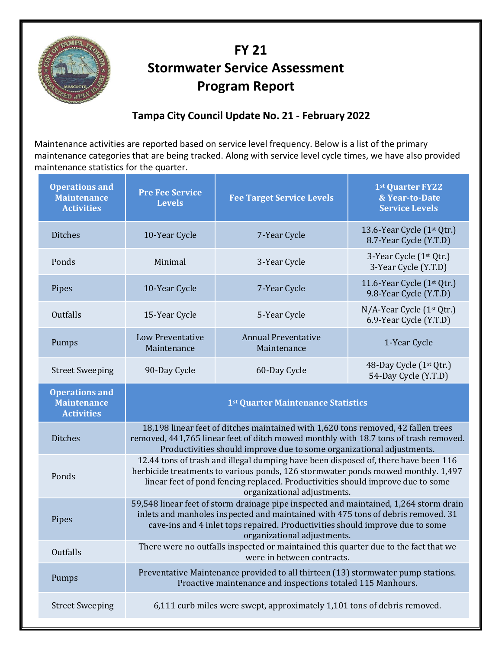

## **FY 2î Stormwater Service Assessment Program Report**

## **Tampa City Council Update No. 21 ‐ February 2022**

Maintenance activities are reported based on service level frequency. Below is a list of the primary maintenance categories that are being tracked. Along with service level cycle times, we have also provided maintenance statistics for the quarter.

| <b>Operations and</b><br><b>Maintenance</b><br><b>Activities</b> | <b>Pre Fee Service</b><br><b>Levels</b>                                                                                                                                                                                                                                                   | <b>Fee Target Service Levels</b>          | 1st Quarter FY22<br>& Year-to-Date<br><b>Service Levels</b>      |
|------------------------------------------------------------------|-------------------------------------------------------------------------------------------------------------------------------------------------------------------------------------------------------------------------------------------------------------------------------------------|-------------------------------------------|------------------------------------------------------------------|
| <b>Ditches</b>                                                   | 10-Year Cycle                                                                                                                                                                                                                                                                             | 7-Year Cycle                              | 13.6-Year Cycle (1 <sup>st</sup> Qtr.)<br>8.7-Year Cycle (Y.T.D) |
| Ponds                                                            | Minimal                                                                                                                                                                                                                                                                                   | 3-Year Cycle                              | 3-Year Cycle (1 <sup>st</sup> Qtr.)<br>3-Year Cycle (Y.T.D)      |
| Pipes                                                            | 10-Year Cycle                                                                                                                                                                                                                                                                             | 7-Year Cycle                              | 11.6-Year Cycle (1st Qtr.)<br>9.8-Year Cycle (Y.T.D)             |
| <b>Outfalls</b>                                                  | 15-Year Cycle                                                                                                                                                                                                                                                                             | 5-Year Cycle                              | N/A-Year Cycle (1 <sup>st</sup> Qtr.)<br>6.9-Year Cycle (Y.T.D)  |
| Pumps                                                            | <b>Low Preventative</b><br>Maintenance                                                                                                                                                                                                                                                    | <b>Annual Preventative</b><br>Maintenance | 1-Year Cycle                                                     |
| <b>Street Sweeping</b>                                           | 90-Day Cycle                                                                                                                                                                                                                                                                              | 60-Day Cycle                              | 48-Day Cycle (1st Qtr.)<br>54-Day Cycle (Y.T.D)                  |
| <b>Operations and</b><br><b>Maintenance</b><br><b>Activities</b> | 1 <sup>st</sup> Quarter Maintenance Statistics                                                                                                                                                                                                                                            |                                           |                                                                  |
| <b>Ditches</b>                                                   | 18,198 linear feet of ditches maintained with 1,620 tons removed, 42 fallen trees<br>removed, 441,765 linear feet of ditch mowed monthly with 18.7 tons of trash removed.<br>Productivities should improve due to some organizational adjustments.                                        |                                           |                                                                  |
| Ponds                                                            | 12.44 tons of trash and illegal dumping have been disposed of, there have been 116<br>herbicide treatments to various ponds, 126 stormwater ponds mowed monthly. 1,497<br>linear feet of pond fencing replaced. Productivities should improve due to some<br>organizational adjustments.  |                                           |                                                                  |
| Pipes                                                            | 59,548 linear feet of storm drainage pipe inspected and maintained, 1,264 storm drain<br>inlets and manholes inspected and maintained with 475 tons of debris removed. 31<br>cave-ins and 4 inlet tops repaired. Productivities should improve due to some<br>organizational adjustments. |                                           |                                                                  |
| <b>Outfalls</b>                                                  | There were no outfalls inspected or maintained this quarter due to the fact that we<br>were in between contracts.                                                                                                                                                                         |                                           |                                                                  |
| Pumps                                                            | Preventative Maintenance provided to all thirteen (13) stormwater pump stations.<br>Proactive maintenance and inspections totaled 115 Manhours.                                                                                                                                           |                                           |                                                                  |
| <b>Street Sweeping</b>                                           | 6,111 curb miles were swept, approximately 1,101 tons of debris removed.                                                                                                                                                                                                                  |                                           |                                                                  |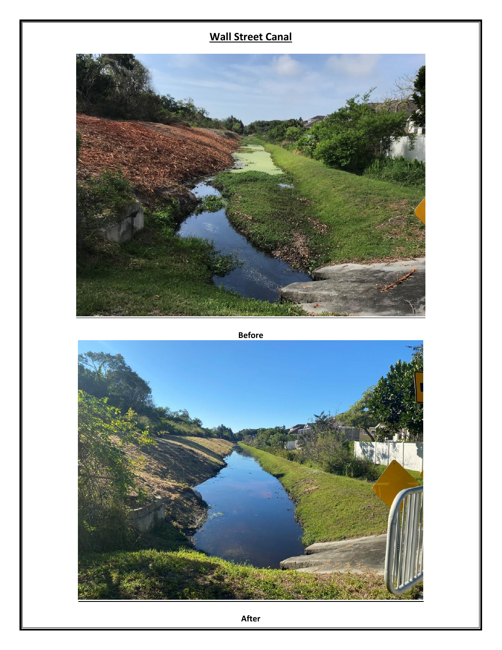## **Wall Street Canal**



**Before**